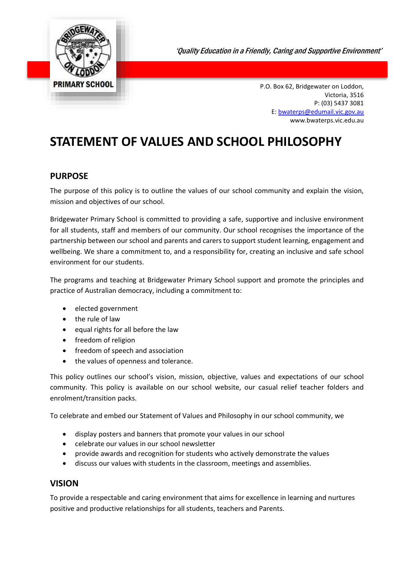

'Quality Education in a Friendly, Caring and Supportive Environment'

P.O. Box 62, Bridgewater on Loddon, Victoria, 3516 P: (03) 5437 3081 E[: bwaterps@edumail.vic.gov.au](mailto:bwaterps@edumail.vic.gov.au) www.bwaterps.vic.edu.au

# **STATEMENT OF VALUES AND SCHOOL PHILOSOPHY**

## **PURPOSE**

The purpose of this policy is to outline the values of our school community and explain the vision, mission and objectives of our school.

Bridgewater Primary School is committed to providing a safe, supportive and inclusive environment for all students, staff and members of our community. Our school recognises the importance of the partnership between our school and parents and carers to support student learning, engagement and wellbeing. We share a commitment to, and a responsibility for, creating an inclusive and safe school environment for our students.

The programs and teaching at Bridgewater Primary School support and promote the principles and practice of Australian democracy, including a commitment to:

- elected government
- the rule of law
- equal rights for all before the law
- freedom of religion
- freedom of speech and association
- the values of openness and tolerance.

This policy outlines our school's vision, mission, objective, values and expectations of our school community. This policy is available on our school website, our casual relief teacher folders and enrolment/transition packs.

To celebrate and embed our Statement of Values and Philosophy in our school community, we

- display posters and banners that promote your values in our school
- celebrate our values in our school newsletter
- provide awards and recognition for students who actively demonstrate the values
- discuss our values with students in the classroom, meetings and assemblies.

#### **VISION**

To provide a respectable and caring environment that aims for excellence in learning and nurtures positive and productive relationships for all students, teachers and Parents.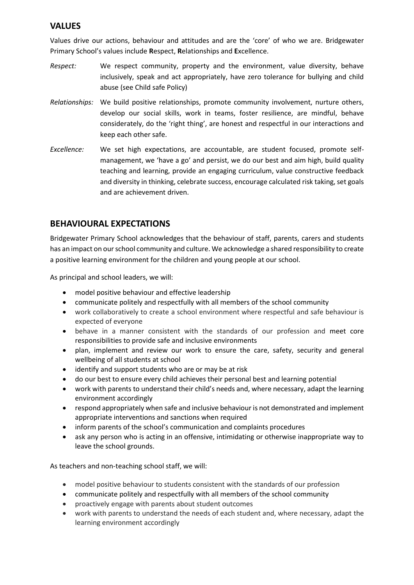# **VALUES**

Values drive our actions, behaviour and attitudes and are the 'core' of who we are. Bridgewater Primary School's values include **R**espect, **R**elationships and **E**xcellence.

- *Respect:* We respect community, property and the environment, value diversity, behave inclusively, speak and act appropriately, have zero tolerance for bullying and child abuse (see Child safe Policy)
- *Relationships:* We build positive relationships, promote community involvement, nurture others, develop our social skills, work in teams, foster resilience, are mindful, behave considerately, do the 'right thing', are honest and respectful in our interactions and keep each other safe.
- *Excellence:* We set high expectations, are accountable, are student focused, promote selfmanagement, we 'have a go' and persist, we do our best and aim high, build quality teaching and learning, provide an engaging curriculum, value constructive feedback and diversity in thinking, celebrate success, encourage calculated risk taking, set goals and are achievement driven.

# **BEHAVIOURAL EXPECTATIONS**

Bridgewater Primary School acknowledges that the behaviour of staff, parents, carers and students has an impact on our school community and culture. We acknowledge a shared responsibility to create a positive learning environment for the children and young people at our school.

As principal and school leaders, we will:

- model positive behaviour and effective leadership
- communicate politely and respectfully with all members of the school community
- work collaboratively to create a school environment where respectful and safe behaviour is expected of everyone
- behave in a manner consistent with the standards of our profession and meet core responsibilities to provide safe and inclusive environments
- plan, implement and review our work to ensure the care, safety, security and general wellbeing of all students at school
- identify and support students who are or may be at risk
- do our best to ensure every child achieves their personal best and learning potential
- work with parents to understand their child's needs and, where necessary, adapt the learning environment accordingly
- respond appropriately when safe and inclusive behaviour is not demonstrated and implement appropriate interventions and sanctions when required
- inform parents of the school's communication and complaints procedures
- ask any person who is acting in an offensive, intimidating or otherwise inappropriate way to leave the school grounds.

As teachers and non-teaching school staff, we will:

- model positive behaviour to students consistent with the standards of our profession
- communicate politely and respectfully with all members of the school community
- proactively engage with parents about student outcomes
- work with parents to understand the needs of each student and, where necessary, adapt the learning environment accordingly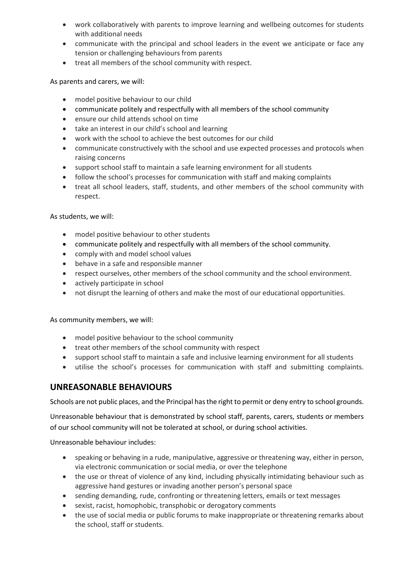- work collaboratively with parents to improve learning and wellbeing outcomes for students with additional needs
- communicate with the principal and school leaders in the event we anticipate or face any tension or challenging behaviours from parents
- treat all members of the school community with respect.

#### As parents and carers, we will:

- model positive behaviour to our child
- communicate politely and respectfully with all members of the school community
- ensure our child attends school on time
- take an interest in our child's school and learning
- work with the school to achieve the best outcomes for our child
- communicate constructively with the school and use expected processes and protocols when raising concerns
- support school staff to maintain a safe learning environment for all students
- follow the school's processes for communication with staff and making complaints
- treat all school leaders, staff, students, and other members of the school community with respect.

#### As students, we will:

- model positive behaviour to other students
- communicate politely and respectfully with all members of the school community.
- comply with and model school values
- behave in a safe and responsible manner
- respect ourselves, other members of the school community and the school environment.
- actively participate in school
- not disrupt the learning of others and make the most of our educational opportunities.

As community members, we will:

- model positive behaviour to the school community
- treat other members of the school community with respect
- support school staff to maintain a safe and inclusive learning environment for all students
- utilise the school's processes for communication with staff and submitting complaints.

### **UNREASONABLE BEHAVIOURS**

Schools are not public places, and the Principal has the right to permit or deny entry to school grounds.

Unreasonable behaviour that is demonstrated by school staff, parents, carers, students or members of our school community will not be tolerated at school, or during school activities.

Unreasonable behaviour includes:

- speaking or behaving in a rude, manipulative, aggressive or threatening way, either in person, via electronic communication or social media, or over the telephone
- the use or threat of violence of any kind, including physically intimidating behaviour such as aggressive hand gestures or invading another person's personal space
- sending demanding, rude, confronting or threatening letters, emails or text messages
- sexist, racist, homophobic, transphobic or derogatory comments
- the use of social media or public forums to make inappropriate or threatening remarks about the school, staff or students.